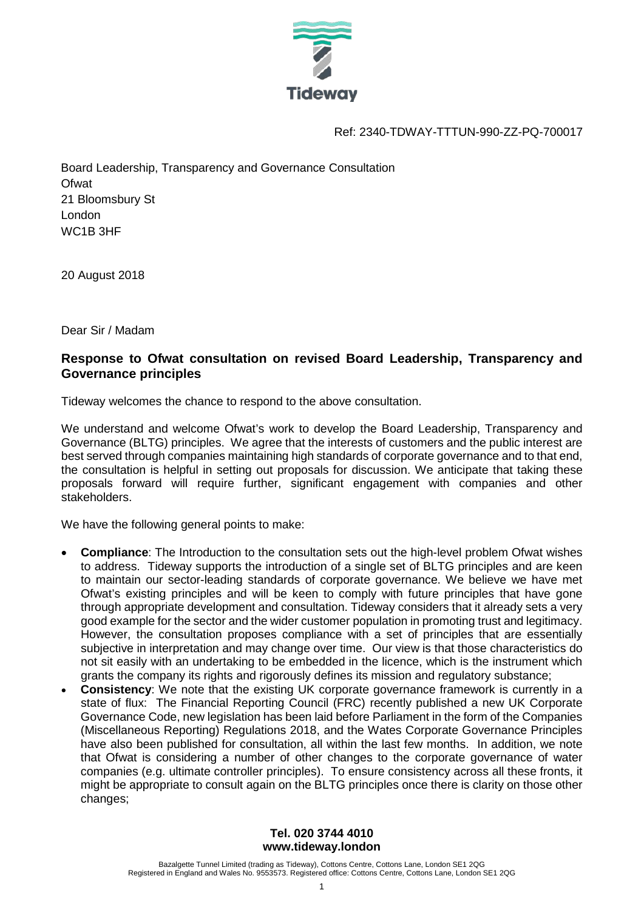

Ref: 2340-TDWAY-TTTUN-990-ZZ-PQ-700017

Board Leadership, Transparency and Governance Consultation **Ofwat** 21 Bloomsbury St London WC1B 3HF

20 August 2018

Dear Sir / Madam

# **Response to Ofwat consultation on revised Board Leadership, Transparency and Governance principles**

Tideway welcomes the chance to respond to the above consultation.

We understand and welcome Ofwat's work to develop the Board Leadership, Transparency and Governance (BLTG) principles. We agree that the interests of customers and the public interest are best served through companies maintaining high standards of corporate governance and to that end, the consultation is helpful in setting out proposals for discussion. We anticipate that taking these proposals forward will require further, significant engagement with companies and other stakeholders.

We have the following general points to make:

- **Compliance**: The Introduction to the consultation sets out the high-level problem Ofwat wishes to address. Tideway supports the introduction of a single set of BLTG principles and are keen to maintain our sector-leading standards of corporate governance. We believe we have met Ofwat's existing principles and will be keen to comply with future principles that have gone through appropriate development and consultation. Tideway considers that it already sets a very good example for the sector and the wider customer population in promoting trust and legitimacy. However, the consultation proposes compliance with a set of principles that are essentially subjective in interpretation and may change over time. Our view is that those characteristics do not sit easily with an undertaking to be embedded in the licence, which is the instrument which grants the company its rights and rigorously defines its mission and regulatory substance;
- **Consistency**: We note that the existing UK corporate governance framework is currently in a state of flux: The Financial Reporting Council (FRC) recently published a new UK Corporate Governance Code, new legislation has been laid before Parliament in the form of the Companies (Miscellaneous Reporting) Regulations 2018, and the Wates Corporate Governance Principles have also been published for consultation, all within the last few months. In addition, we note that Ofwat is considering a number of other changes to the corporate governance of water companies (e.g. ultimate controller principles). To ensure consistency across all these fronts, it might be appropriate to consult again on the BLTG principles once there is clarity on those other changes;

### **Tel. 020 3744 4010 www.tideway.london**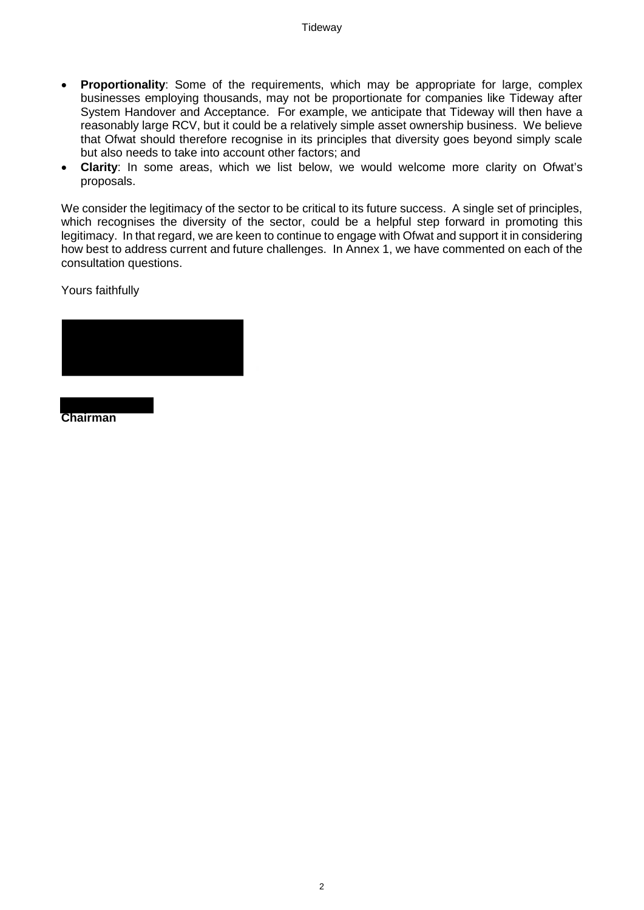- **Proportionality**: Some of the requirements, which may be appropriate for large, complex businesses employing thousands, may not be proportionate for companies like Tideway after System Handover and Acceptance. For example, we anticipate that Tideway will then have a reasonably large RCV, but it could be a relatively simple asset ownership business. We believe that Ofwat should therefore recognise in its principles that diversity goes beyond simply scale but also needs to take into account other factors; and
- **Clarity**: In some areas, which we list below, we would welcome more clarity on Ofwat's proposals.

We consider the legitimacy of the sector to be critical to its future success. A single set of principles, which recognises the diversity of the sector, could be a helpful step forward in promoting this legitimacy. In that regard, we are keen to continue to engage with Ofwat and support it in considering how best to address current and future challenges. In Annex 1, we have commented on each of the consultation questions.

Yours faithfully



**Chairman**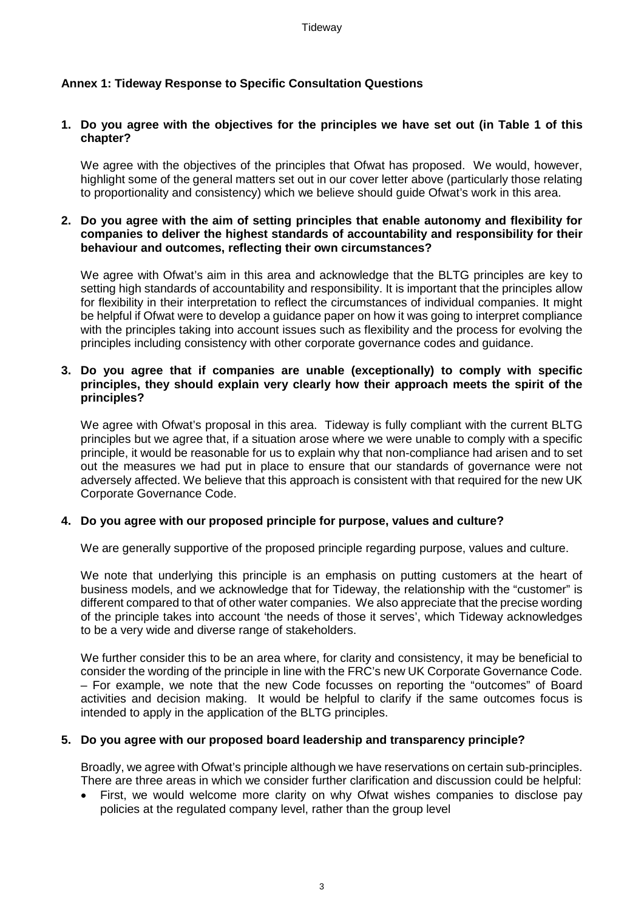## **Annex 1: Tideway Response to Specific Consultation Questions**

#### **1. Do you agree with the objectives for the principles we have set out (in Table 1 of this chapter?**

We agree with the objectives of the principles that Ofwat has proposed. We would, however, highlight some of the general matters set out in our cover letter above (particularly those relating to proportionality and consistency) which we believe should guide Ofwat's work in this area.

#### **2. Do you agree with the aim of setting principles that enable autonomy and flexibility for companies to deliver the highest standards of accountability and responsibility for their behaviour and outcomes, reflecting their own circumstances?**

We agree with Ofwat's aim in this area and acknowledge that the BLTG principles are key to setting high standards of accountability and responsibility. It is important that the principles allow for flexibility in their interpretation to reflect the circumstances of individual companies. It might be helpful if Ofwat were to develop a guidance paper on how it was going to interpret compliance with the principles taking into account issues such as flexibility and the process for evolving the principles including consistency with other corporate governance codes and guidance.

#### **3. Do you agree that if companies are unable (exceptionally) to comply with specific principles, they should explain very clearly how their approach meets the spirit of the principles?**

We agree with Ofwat's proposal in this area. Tideway is fully compliant with the current BLTG principles but we agree that, if a situation arose where we were unable to comply with a specific principle, it would be reasonable for us to explain why that non-compliance had arisen and to set out the measures we had put in place to ensure that our standards of governance were not adversely affected. We believe that this approach is consistent with that required for the new UK Corporate Governance Code.

### **4. Do you agree with our proposed principle for purpose, values and culture?**

We are generally supportive of the proposed principle regarding purpose, values and culture.

We note that underlying this principle is an emphasis on putting customers at the heart of business models, and we acknowledge that for Tideway, the relationship with the "customer" is different compared to that of other water companies. We also appreciate that the precise wording of the principle takes into account 'the needs of those it serves', which Tideway acknowledges to be a very wide and diverse range of stakeholders.

We further consider this to be an area where, for clarity and consistency, it may be beneficial to consider the wording of the principle in line with the FRC's new UK Corporate Governance Code. – For example, we note that the new Code focusses on reporting the "outcomes" of Board activities and decision making. It would be helpful to clarify if the same outcomes focus is intended to apply in the application of the BLTG principles.

### **5. Do you agree with our proposed board leadership and transparency principle?**

Broadly, we agree with Ofwat's principle although we have reservations on certain sub-principles. There are three areas in which we consider further clarification and discussion could be helpful:

• First, we would welcome more clarity on why Ofwat wishes companies to disclose pay policies at the regulated company level, rather than the group level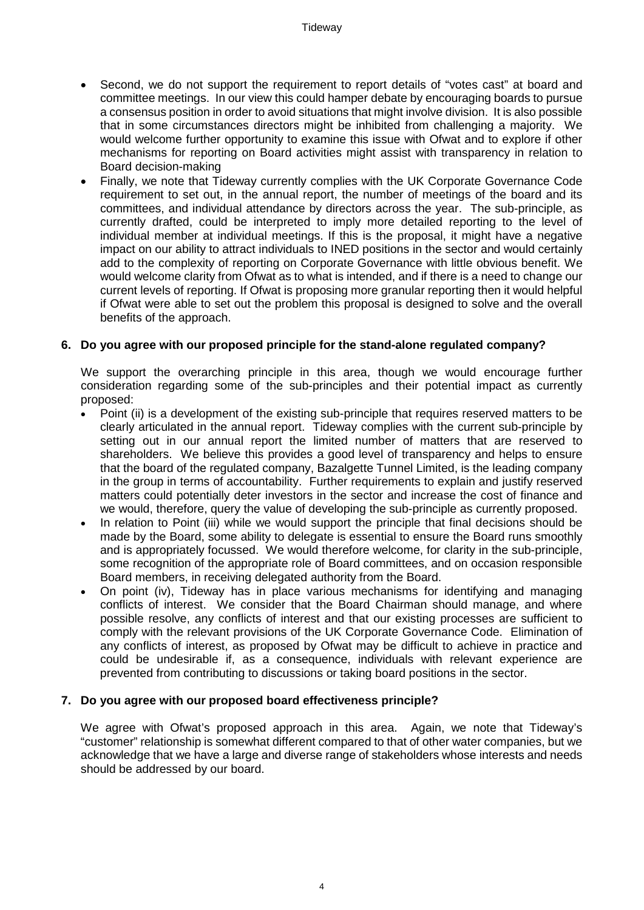- Second, we do not support the requirement to report details of "votes cast" at board and committee meetings. In our view this could hamper debate by encouraging boards to pursue a consensus position in order to avoid situations that might involve division. It is also possible that in some circumstances directors might be inhibited from challenging a majority. We would welcome further opportunity to examine this issue with Ofwat and to explore if other mechanisms for reporting on Board activities might assist with transparency in relation to Board decision-making
- Finally, we note that Tideway currently complies with the UK Corporate Governance Code requirement to set out, in the annual report, the number of meetings of the board and its committees, and individual attendance by directors across the year. The sub-principle, as currently drafted, could be interpreted to imply more detailed reporting to the level of individual member at individual meetings. If this is the proposal, it might have a negative impact on our ability to attract individuals to INED positions in the sector and would certainly add to the complexity of reporting on Corporate Governance with little obvious benefit. We would welcome clarity from Ofwat as to what is intended, and if there is a need to change our current levels of reporting. If Ofwat is proposing more granular reporting then it would helpful if Ofwat were able to set out the problem this proposal is designed to solve and the overall benefits of the approach.

### **6. Do you agree with our proposed principle for the stand-alone regulated company?**

We support the overarching principle in this area, though we would encourage further consideration regarding some of the sub-principles and their potential impact as currently proposed:

- Point (ii) is a development of the existing sub-principle that requires reserved matters to be clearly articulated in the annual report. Tideway complies with the current sub-principle by setting out in our annual report the limited number of matters that are reserved to shareholders. We believe this provides a good level of transparency and helps to ensure that the board of the regulated company, Bazalgette Tunnel Limited, is the leading company in the group in terms of accountability. Further requirements to explain and justify reserved matters could potentially deter investors in the sector and increase the cost of finance and we would, therefore, query the value of developing the sub-principle as currently proposed.
- In relation to Point (iii) while we would support the principle that final decisions should be made by the Board, some ability to delegate is essential to ensure the Board runs smoothly and is appropriately focussed. We would therefore welcome, for clarity in the sub-principle, some recognition of the appropriate role of Board committees, and on occasion responsible Board members, in receiving delegated authority from the Board.
- On point (iv), Tideway has in place various mechanisms for identifying and managing conflicts of interest. We consider that the Board Chairman should manage, and where possible resolve, any conflicts of interest and that our existing processes are sufficient to comply with the relevant provisions of the UK Corporate Governance Code. Elimination of any conflicts of interest, as proposed by Ofwat may be difficult to achieve in practice and could be undesirable if, as a consequence, individuals with relevant experience are prevented from contributing to discussions or taking board positions in the sector.

### **7. Do you agree with our proposed board effectiveness principle?**

We agree with Ofwat's proposed approach in this area. Again, we note that Tideway's "customer" relationship is somewhat different compared to that of other water companies, but we acknowledge that we have a large and diverse range of stakeholders whose interests and needs should be addressed by our board.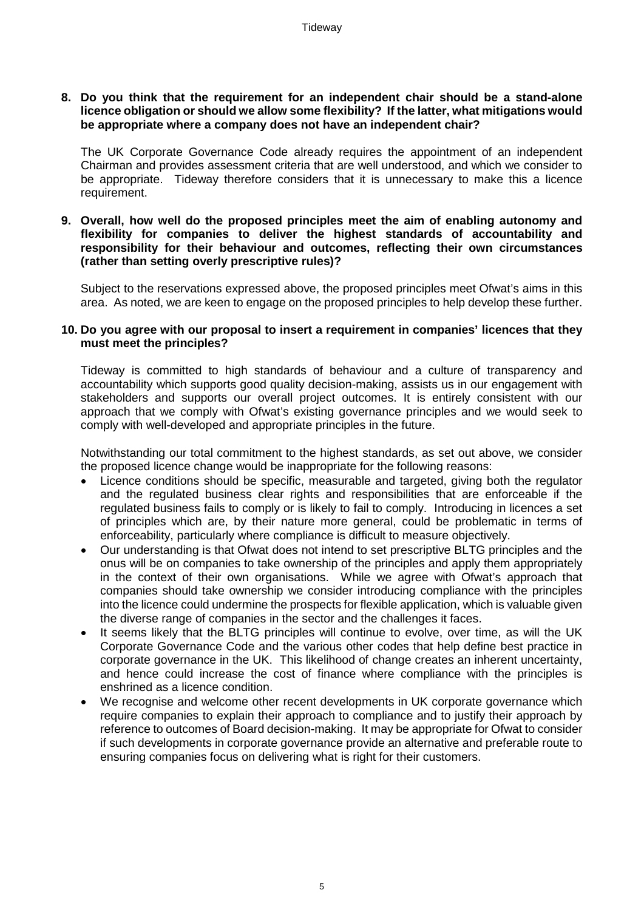#### **8. Do you think that the requirement for an independent chair should be a stand-alone licence obligation or should we allow some flexibility? If the latter, what mitigations would be appropriate where a company does not have an independent chair?**

The UK Corporate Governance Code already requires the appointment of an independent Chairman and provides assessment criteria that are well understood, and which we consider to be appropriate. Tideway therefore considers that it is unnecessary to make this a licence requirement.

**9. Overall, how well do the proposed principles meet the aim of enabling autonomy and flexibility for companies to deliver the highest standards of accountability and responsibility for their behaviour and outcomes, reflecting their own circumstances (rather than setting overly prescriptive rules)?**

Subject to the reservations expressed above, the proposed principles meet Ofwat's aims in this area. As noted, we are keen to engage on the proposed principles to help develop these further.

#### **10. Do you agree with our proposal to insert a requirement in companies' licences that they must meet the principles?**

Tideway is committed to high standards of behaviour and a culture of transparency and accountability which supports good quality decision-making, assists us in our engagement with stakeholders and supports our overall project outcomes. It is entirely consistent with our approach that we comply with Ofwat's existing governance principles and we would seek to comply with well-developed and appropriate principles in the future.

Notwithstanding our total commitment to the highest standards, as set out above, we consider the proposed licence change would be inappropriate for the following reasons:

- Licence conditions should be specific, measurable and targeted, giving both the regulator and the regulated business clear rights and responsibilities that are enforceable if the regulated business fails to comply or is likely to fail to comply. Introducing in licences a set of principles which are, by their nature more general, could be problematic in terms of enforceability, particularly where compliance is difficult to measure objectively.
- Our understanding is that Ofwat does not intend to set prescriptive BLTG principles and the onus will be on companies to take ownership of the principles and apply them appropriately in the context of their own organisations. While we agree with Ofwat's approach that companies should take ownership we consider introducing compliance with the principles into the licence could undermine the prospects for flexible application, which is valuable given the diverse range of companies in the sector and the challenges it faces.
- It seems likely that the BLTG principles will continue to evolve, over time, as will the UK Corporate Governance Code and the various other codes that help define best practice in corporate governance in the UK. This likelihood of change creates an inherent uncertainty, and hence could increase the cost of finance where compliance with the principles is enshrined as a licence condition.
- We recognise and welcome other recent developments in UK corporate governance which require companies to explain their approach to compliance and to justify their approach by reference to outcomes of Board decision-making. It may be appropriate for Ofwat to consider if such developments in corporate governance provide an alternative and preferable route to ensuring companies focus on delivering what is right for their customers.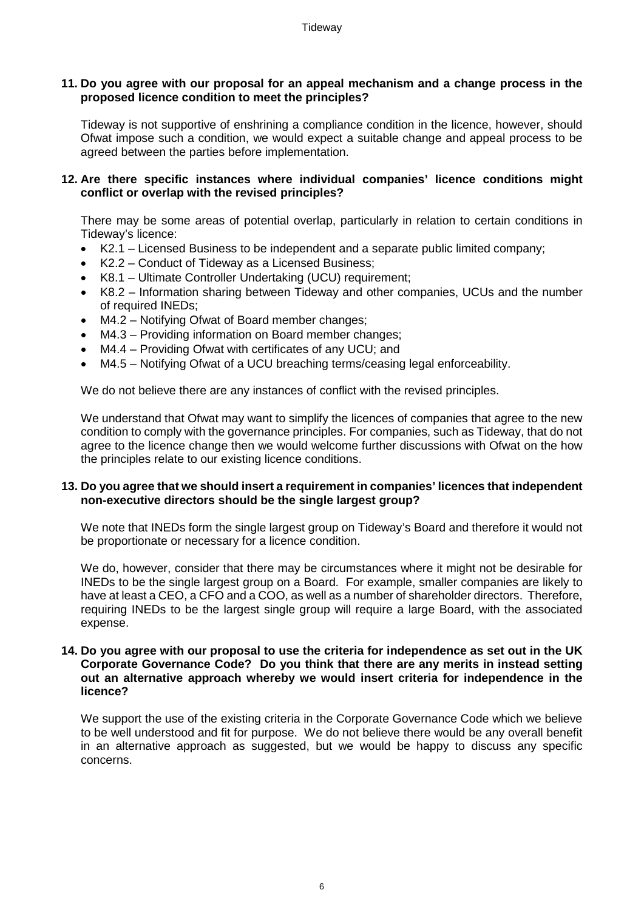#### **11. Do you agree with our proposal for an appeal mechanism and a change process in the proposed licence condition to meet the principles?**

Tideway is not supportive of enshrining a compliance condition in the licence, however, should Ofwat impose such a condition, we would expect a suitable change and appeal process to be agreed between the parties before implementation.

### **12. Are there specific instances where individual companies' licence conditions might conflict or overlap with the revised principles?**

There may be some areas of potential overlap, particularly in relation to certain conditions in Tideway's licence:

- K2.1 Licensed Business to be independent and a separate public limited company;
- K2.2 Conduct of Tideway as a Licensed Business;
- K8.1 Ultimate Controller Undertaking (UCU) requirement;
- K8.2 Information sharing between Tideway and other companies, UCUs and the number of required INEDs;
- M4.2 Notifying Ofwat of Board member changes;
- M4.3 Providing information on Board member changes;
- M4.4 Providing Ofwat with certificates of any UCU; and
- M4.5 Notifying Ofwat of a UCU breaching terms/ceasing legal enforceability.

We do not believe there are any instances of conflict with the revised principles.

We understand that Ofwat may want to simplify the licences of companies that agree to the new condition to comply with the governance principles. For companies, such as Tideway, that do not agree to the licence change then we would welcome further discussions with Ofwat on the how the principles relate to our existing licence conditions.

### **13. Do you agree that we should insert a requirement in companies' licences that independent non-executive directors should be the single largest group?**

We note that INEDs form the single largest group on Tideway's Board and therefore it would not be proportionate or necessary for a licence condition.

We do, however, consider that there may be circumstances where it might not be desirable for INEDs to be the single largest group on a Board. For example, smaller companies are likely to have at least a CEO, a CFO and a COO, as well as a number of shareholder directors. Therefore, requiring INEDs to be the largest single group will require a large Board, with the associated expense.

#### **14. Do you agree with our proposal to use the criteria for independence as set out in the UK Corporate Governance Code? Do you think that there are any merits in instead setting out an alternative approach whereby we would insert criteria for independence in the licence?**

We support the use of the existing criteria in the Corporate Governance Code which we believe to be well understood and fit for purpose. We do not believe there would be any overall benefit in an alternative approach as suggested, but we would be happy to discuss any specific concerns.